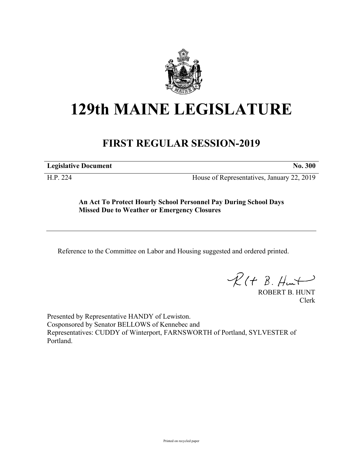

## **129th MAINE LEGISLATURE**

## **FIRST REGULAR SESSION-2019**

**Legislative Document No. 300**

H.P. 224 House of Representatives, January 22, 2019

**An Act To Protect Hourly School Personnel Pay During School Days Missed Due to Weather or Emergency Closures**

Reference to the Committee on Labor and Housing suggested and ordered printed.

 $R(t B. Hmt)$ 

ROBERT B. HUNT Clerk

Presented by Representative HANDY of Lewiston. Cosponsored by Senator BELLOWS of Kennebec and Representatives: CUDDY of Winterport, FARNSWORTH of Portland, SYLVESTER of Portland.